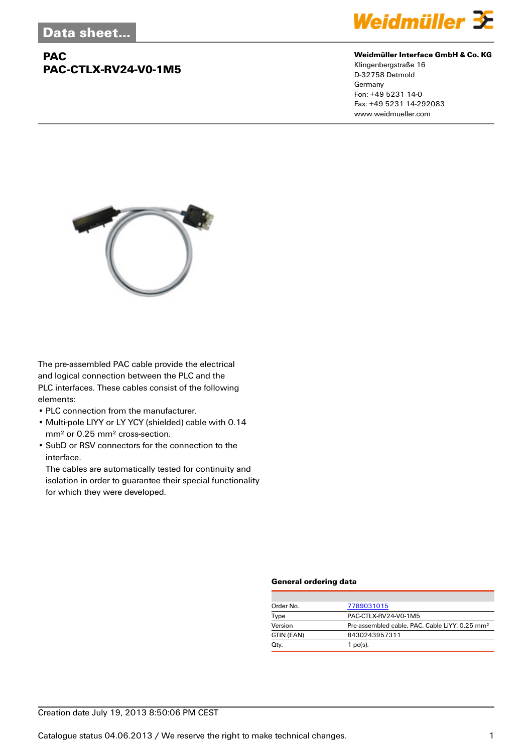## **PAC PAC-CTLX-RV24-V0-1M5**



#### **Weidmüller Interface GmbH & Co. KG**

Klingenbergstraße 16 D-32758 Detmold Germany Fon: +49 5231 14-0 Fax: +49 5231 14-292083 www.weidmueller.com



The pre-assembled PAC cable provide the electrical and logical connection between the PLC and the PLC interfaces. These cables consist of the following elements:

- PLC connection from the manufacturer.
- Multi-pole LIYY or LY YCY (shielded) cable with 0.14 mm² or 0.25 mm² cross-section.
- SubD or RSV connectors for the connection to the interface.

The cables are automatically tested for continuity and isolation in order to guarantee their special functionality for which they were developed.

#### **General ordering data**

| Order No.  | 7789031015                                                 |  |  |
|------------|------------------------------------------------------------|--|--|
| Type       | PAC-CTLX-RV24-V0-1M5                                       |  |  |
| Version    | Pre-assembled cable, PAC, Cable LiYY, 0.25 mm <sup>2</sup> |  |  |
| GTIN (EAN) | 8430243957311                                              |  |  |
| Qty.       | $1$ pc(s).                                                 |  |  |